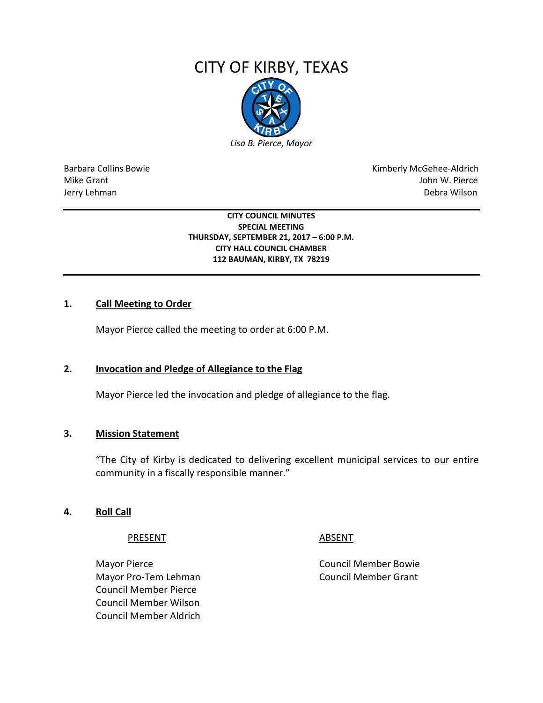# CITY OF KIRBY, TEXAS



Barbara Collins Bowie **Kimberly McGehee-Aldrich** Mike Grant John W. Pierce Jerry Lehman Debra Wilson

> **CITY COUNCIL MINUTES SPECIAL MEETING THURSDAY, SEPTEMBER 21, 2017 – 6:00 P.M. CITY HALL COUNCIL CHAMBER 112 BAUMAN, KIRBY, TX 78219**

# **1. Call Meeting to Order**

Mayor Pierce called the meeting to order at 6:00 P.M.

### **2. Invocation and Pledge of Allegiance to the Flag**

Mayor Pierce led the invocation and pledge of allegiance to the flag.

#### **3. Mission Statement**

"The City of Kirby is dedicated to delivering excellent municipal services to our entire community in a fiscally responsible manner."

#### **4. Roll Call**

PRESENT ABSENT

Mayor Pierce **Council Member Bowie** Council Member Bowie Mayor Pro-Tem Lehman Council Member Grant Council Member Pierce Council Member Wilson Council Member Aldrich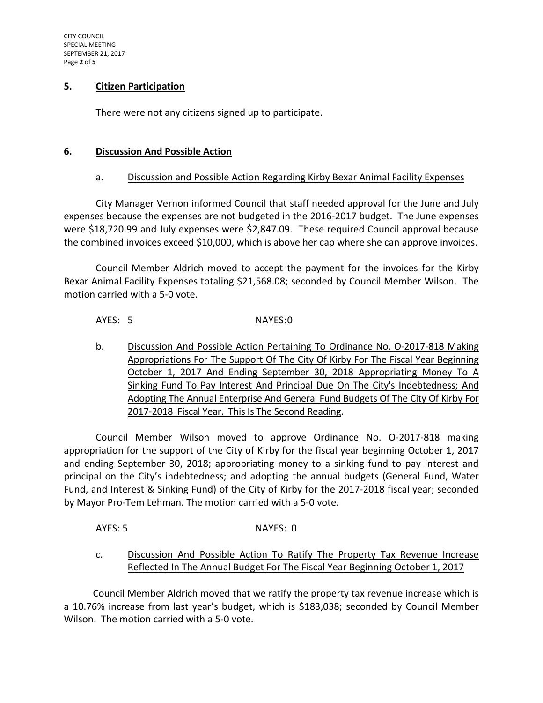# **5. Citizen Participation**

There were not any citizens signed up to participate.

# **6. Discussion And Possible Action**

# a. Discussion and Possible Action Regarding Kirby Bexar Animal Facility Expenses

City Manager Vernon informed Council that staff needed approval for the June and July expenses because the expenses are not budgeted in the 2016-2017 budget. The June expenses were \$18,720.99 and July expenses were \$2,847.09. These required Council approval because the combined invoices exceed \$10,000, which is above her cap where she can approve invoices.

Council Member Aldrich moved to accept the payment for the invoices for the Kirby Bexar Animal Facility Expenses totaling \$21,568.08; seconded by Council Member Wilson. The motion carried with a 5-0 vote.

# AYES: 5 NAYES:0

b. Discussion And Possible Action Pertaining To Ordinance No. O-2017-818 Making Appropriations For The Support Of The City Of Kirby For The Fiscal Year Beginning October 1, 2017 And Ending September 30, 2018 Appropriating Money To A Sinking Fund To Pay Interest And Principal Due On The City's Indebtedness; And Adopting The Annual Enterprise And General Fund Budgets Of The City Of Kirby For 2017-2018 Fiscal Year. This Is The Second Reading.

Council Member Wilson moved to approve Ordinance No. O-2017-818 making appropriation for the support of the City of Kirby for the fiscal year beginning October 1, 2017 and ending September 30, 2018; appropriating money to a sinking fund to pay interest and principal on the City's indebtedness; and adopting the annual budgets (General Fund, Water Fund, and Interest & Sinking Fund) of the City of Kirby for the 2017-2018 fiscal year; seconded by Mayor Pro-Tem Lehman. The motion carried with a 5-0 vote.

AYES: 5 NAYES: 0

c. Discussion And Possible Action To Ratify The Property Tax Revenue Increase Reflected In The Annual Budget For The Fiscal Year Beginning October 1, 2017

 Council Member Aldrich moved that we ratify the property tax revenue increase which is a 10.76% increase from last year's budget, which is \$183,038; seconded by Council Member Wilson. The motion carried with a 5-0 vote.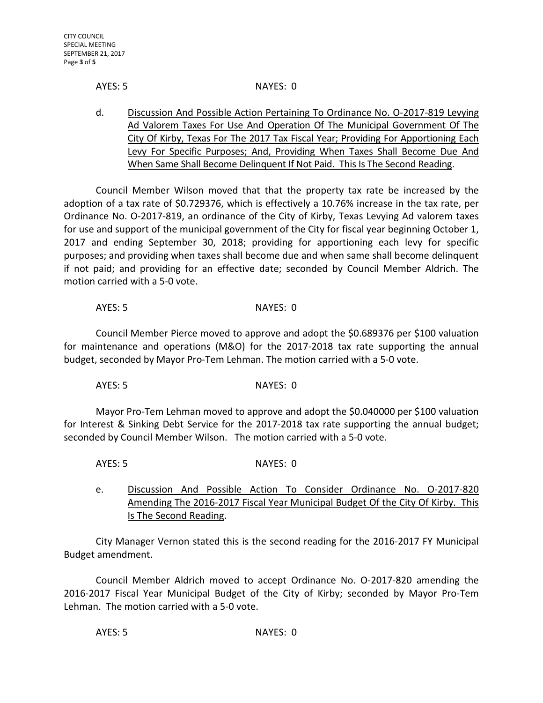#### AYES: 5 NAYES: 0

d. Discussion And Possible Action Pertaining To Ordinance No. O-2017-819 Levying Ad Valorem Taxes For Use And Operation Of The Municipal Government Of The City Of Kirby, Texas For The 2017 Tax Fiscal Year; Providing For Apportioning Each Levy For Specific Purposes; And, Providing When Taxes Shall Become Due And When Same Shall Become Delinquent If Not Paid. This Is The Second Reading.

Council Member Wilson moved that that the property tax rate be increased by the adoption of a tax rate of \$0.729376, which is effectively a 10.76% increase in the tax rate, per Ordinance No. O-2017-819, an ordinance of the City of Kirby, Texas Levying Ad valorem taxes for use and support of the municipal government of the City for fiscal year beginning October 1, 2017 and ending September 30, 2018; providing for apportioning each levy for specific purposes; and providing when taxes shall become due and when same shall become delinquent if not paid; and providing for an effective date; seconded by Council Member Aldrich. The motion carried with a 5-0 vote.

### AYES: 5 NAYES: 0

Council Member Pierce moved to approve and adopt the \$0.689376 per \$100 valuation for maintenance and operations (M&O) for the 2017-2018 tax rate supporting the annual budget, seconded by Mayor Pro-Tem Lehman. The motion carried with a 5-0 vote.

AYES: 5 NAYES: 0

Mayor Pro-Tem Lehman moved to approve and adopt the \$0.040000 per \$100 valuation for Interest & Sinking Debt Service for the 2017-2018 tax rate supporting the annual budget; seconded by Council Member Wilson. The motion carried with a 5-0 vote.

AYES: 5 NAYES: 0

e. Discussion And Possible Action To Consider Ordinance No. O-2017-820 Amending The 2016-2017 Fiscal Year Municipal Budget Of the City Of Kirby. This Is The Second Reading.

City Manager Vernon stated this is the second reading for the 2016-2017 FY Municipal Budget amendment.

Council Member Aldrich moved to accept Ordinance No. O-2017-820 amending the 2016-2017 Fiscal Year Municipal Budget of the City of Kirby; seconded by Mayor Pro-Tem Lehman. The motion carried with a 5-0 vote.

AYES: 5 NAYES: 0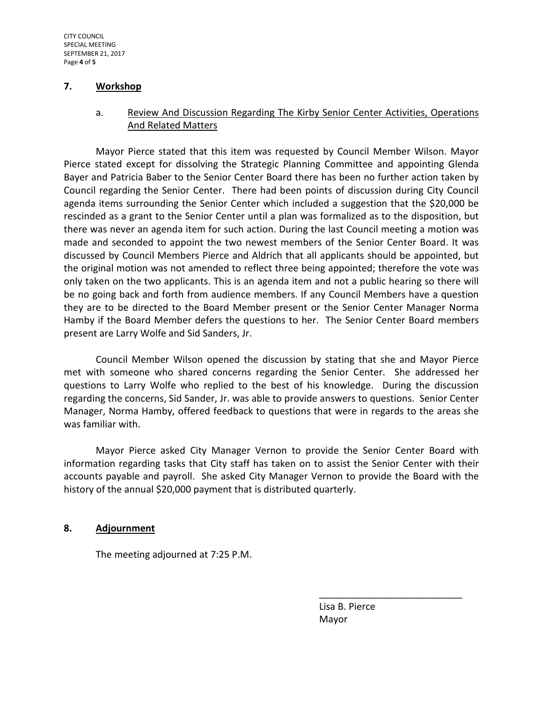#### **7. Workshop**

# a. Review And Discussion Regarding The Kirby Senior Center Activities, Operations And Related Matters

Mayor Pierce stated that this item was requested by Council Member Wilson. Mayor Pierce stated except for dissolving the Strategic Planning Committee and appointing Glenda Bayer and Patricia Baber to the Senior Center Board there has been no further action taken by Council regarding the Senior Center. There had been points of discussion during City Council agenda items surrounding the Senior Center which included a suggestion that the \$20,000 be rescinded as a grant to the Senior Center until a plan was formalized as to the disposition, but there was never an agenda item for such action. During the last Council meeting a motion was made and seconded to appoint the two newest members of the Senior Center Board. It was discussed by Council Members Pierce and Aldrich that all applicants should be appointed, but the original motion was not amended to reflect three being appointed; therefore the vote was only taken on the two applicants. This is an agenda item and not a public hearing so there will be no going back and forth from audience members. If any Council Members have a question they are to be directed to the Board Member present or the Senior Center Manager Norma Hamby if the Board Member defers the questions to her. The Senior Center Board members present are Larry Wolfe and Sid Sanders, Jr.

Council Member Wilson opened the discussion by stating that she and Mayor Pierce met with someone who shared concerns regarding the Senior Center. She addressed her questions to Larry Wolfe who replied to the best of his knowledge. During the discussion regarding the concerns, Sid Sander, Jr. was able to provide answers to questions. Senior Center Manager, Norma Hamby, offered feedback to questions that were in regards to the areas she was familiar with.

Mayor Pierce asked City Manager Vernon to provide the Senior Center Board with information regarding tasks that City staff has taken on to assist the Senior Center with their accounts payable and payroll. She asked City Manager Vernon to provide the Board with the history of the annual \$20,000 payment that is distributed quarterly.

#### **8. Adjournment**

The meeting adjourned at 7:25 P.M.

 Lisa B. Pierce Mayor

\_\_\_\_\_\_\_\_\_\_\_\_\_\_\_\_\_\_\_\_\_\_\_\_\_\_\_